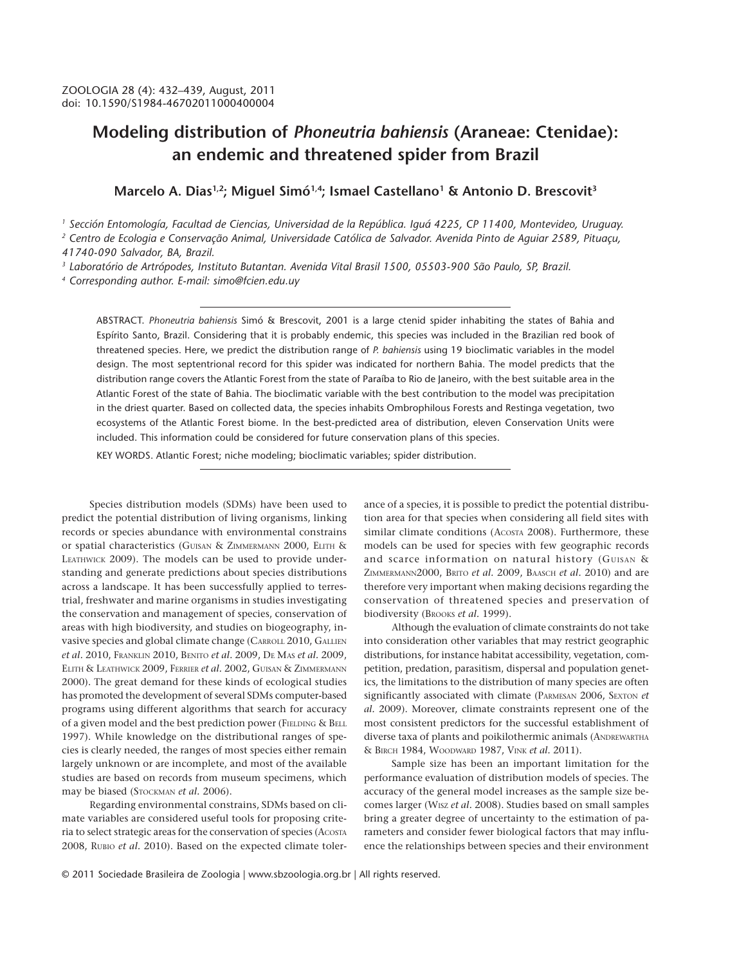# **Modeling distribution of** *Phoneutria bahiensis* **(Araneae: Ctenidae): an endemic and threatened spider from Brazil**

Marcelo A. Dias<sup>1,2</sup>; Miguel Simó<sup>1,4</sup>; Ismael Castellano<sup>1</sup> & Antonio D. Brescovit<sup>3</sup>

*1 Sección Entomología, Facultad de Ciencias, Universidad de la República. Iguá 4225, CP 11400, Montevideo, Uruguay.*

*2 Centro de Ecologia e Conservação Animal, Universidade Católica de Salvador. Avenida Pinto de Aguiar 2589, Pituaçu, 41740-090 Salvador, BA, Brazil.*

*3 Laboratório de Artrópodes, Instituto Butantan. Avenida Vital Brasil 1500, 05503-900 São Paulo, SP, Brazil.*

*4 Corresponding author. E-mail: simo@fcien.edu.uy*

ABSTRACT. *Phoneutria bahiensis* Simó & Brescovit, 2001 is a large ctenid spider inhabiting the states of Bahia and Espírito Santo, Brazil. Considering that it is probably endemic, this species was included in the Brazilian red book of threatened species. Here, we predict the distribution range of *P. bahiensis* using 19 bioclimatic variables in the model design. The most septentrional record for this spider was indicated for northern Bahia. The model predicts that the distribution range covers the Atlantic Forest from the state of Paraíba to Rio de Janeiro, with the best suitable area in the Atlantic Forest of the state of Bahia. The bioclimatic variable with the best contribution to the model was precipitation in the driest quarter. Based on collected data, the species inhabits Ombrophilous Forests and Restinga vegetation, two ecosystems of the Atlantic Forest biome. In the best-predicted area of distribution, eleven Conservation Units were included. This information could be considered for future conservation plans of this species.

KEY WORDS. Atlantic Forest; niche modeling; bioclimatic variables; spider distribution.

Species distribution models (SDMs) have been used to predict the potential distribution of living organisms, linking records or species abundance with environmental constrains or spatial characteristics (GUISAN & ZIMMERMANN 2000, ELITH & LEATHWICK 2009). The models can be used to provide understanding and generate predictions about species distributions across a landscape. It has been successfully applied to terrestrial, freshwater and marine organisms in studies investigating the conservation and management of species, conservation of areas with high biodiversity, and studies on biogeography, invasive species and global climate change (CARROLL 2010, GALLIEN *et al.* 2010, FRANKLIN 2010, BENITO *et al.* 2009, DE MAS *et al.* 2009, ELITH & LEATHWICK 2009, FERRIER *et al.* 2002, GUISAN & ZIMMERMANN 2000). The great demand for these kinds of ecological studies has promoted the development of several SDMs computer-based programs using different algorithms that search for accuracy of a given model and the best prediction power (FIELDING & BELL 1997). While knowledge on the distributional ranges of species is clearly needed, the ranges of most species either remain largely unknown or are incomplete, and most of the available studies are based on records from museum specimens, which may be biased (STOCKMAN *et al.* 2006).

Regarding environmental constrains, SDMs based on climate variables are considered useful tools for proposing criteria to select strategic areas for the conservation of species (ACOSTA 2008, RUBIO *et al.* 2010). Based on the expected climate toler-

ance of a species, it is possible to predict the potential distribution area for that species when considering all field sites with similar climate conditions (Acosta 2008). Furthermore, these models can be used for species with few geographic records and scarce information on natural history (GUISAN & ZIMMERMANN2000, BRITO *et al.* 2009, BAASCH *et al.* 2010) and are therefore very important when making decisions regarding the conservation of threatened species and preservation of biodiversity (BROOKS *et al.* 1999).

Although the evaluation of climate constraints do not take into consideration other variables that may restrict geographic distributions, for instance habitat accessibility, vegetation, competition, predation, parasitism, dispersal and population genetics, the limitations to the distribution of many species are often significantly associated with climate (PARMESAN 2006, SEXTON *et al.* 2009). Moreover, climate constraints represent one of the most consistent predictors for the successful establishment of diverse taxa of plants and poikilothermic animals (ANDREWARTHA & BIRCH 1984, WOODWARD 1987, VINK *et al.* 2011).

Sample size has been an important limitation for the performance evaluation of distribution models of species. The accuracy of the general model increases as the sample size becomes larger (WISZ *et al.* 2008). Studies based on small samples bring a greater degree of uncertainty to the estimation of parameters and consider fewer biological factors that may influence the relationships between species and their environment

© 2011 Sociedade Brasileira de Zoologia | www.sbzoologia.org.br | All rights reserved.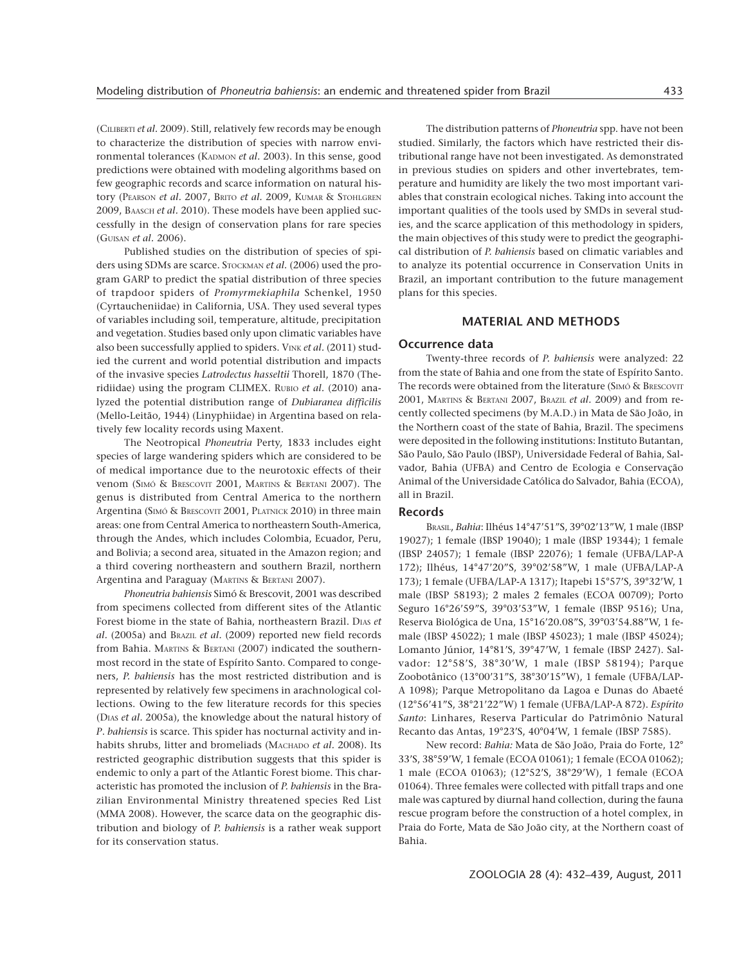(CILIBERTI *et al.* 2009). Still, relatively few records may be enough to characterize the distribution of species with narrow environmental tolerances (KADMON *et al.* 2003). In this sense, good predictions were obtained with modeling algorithms based on few geographic records and scarce information on natural history (PEARSON *et al.* 2007, BRITO *et al.* 2009, KUMAR & STOHLGREN 2009, BAASCH *et al.* 2010). These models have been applied successfully in the design of conservation plans for rare species (GUISAN *et al.* 2006).

Published studies on the distribution of species of spiders using SDMs are scarce. STOCKMAN *et al.* (2006) used the program GARP to predict the spatial distribution of three species of trapdoor spiders of *Promyrmekiaphila* Schenkel, 1950 (Cyrtaucheniidae) in California, USA. They used several types of variables including soil, temperature, altitude, precipitation and vegetation. Studies based only upon climatic variables have also been successfully applied to spiders. VINK *et al.* (2011) studied the current and world potential distribution and impacts of the invasive species *Latrodectus hasseltii* Thorell, 1870 (Theridiidae) using the program CLIMEX. RUBIO *et al.* (2010) analyzed the potential distribution range of *Dubiaranea difficilis* (Mello-Leitão, 1944) (Linyphiidae) in Argentina based on relatively few locality records using Maxent.

The Neotropical *Phoneutria* Perty, 1833 includes eight species of large wandering spiders which are considered to be of medical importance due to the neurotoxic effects of their venom (SIMÓ & BRESCOVIT 2001, MARTINS & BERTANI 2007). The genus is distributed from Central America to the northern Argentina (SIMÓ & BRESCOVIT 2001, PLATNICK 2010) in three main areas: one from Central America to northeastern South-America, through the Andes, which includes Colombia, Ecuador, Peru, and Bolivia; a second area, situated in the Amazon region; and a third covering northeastern and southern Brazil, northern Argentina and Paraguay (MARTINS & BERTANI 2007).

*Phoneutria bahiensis* Simó & Brescovit, 2001 was described from specimens collected from different sites of the Atlantic Forest biome in the state of Bahia, northeastern Brazil. DIAS *et al.* (2005a) and BRAZIL *et al.* (2009) reported new field records from Bahia. MARTINS & BERTANI (2007) indicated the southernmost record in the state of Espírito Santo. Compared to congeners, *P. bahiensis* has the most restricted distribution and is represented by relatively few specimens in arachnological collections. Owing to the few literature records for this species (DIAS *et al.* 2005a), the knowledge about the natural history of *P*. *bahiensis* is scarce. This spider has nocturnal activity and inhabits shrubs, litter and bromeliads (MACHADO *et al.* 2008). Its restricted geographic distribution suggests that this spider is endemic to only a part of the Atlantic Forest biome. This characteristic has promoted the inclusion of *P. bahiensis* in the Brazilian Environmental Ministry threatened species Red List (MMA 2008). However, the scarce data on the geographic distribution and biology of *P. bahiensis* is a rather weak support for its conservation status.

The distribution patterns of *Phoneutria* spp. have not been studied. Similarly, the factors which have restricted their distributional range have not been investigated. As demonstrated in previous studies on spiders and other invertebrates, temperature and humidity are likely the two most important variables that constrain ecological niches. Taking into account the important qualities of the tools used by SMDs in several studies, and the scarce application of this methodology in spiders, the main objectives of this study were to predict the geographical distribution of *P. bahiensis* based on climatic variables and to analyze its potential occurrence in Conservation Units in Brazil, an important contribution to the future management plans for this species.

### **MATERIAL AND METHODS**

#### **Occurrence data**

Twenty-three records of *P. bahiensis* were analyzed: 22 from the state of Bahia and one from the state of Espírito Santo. The records were obtained from the literature (SIMÓ & BRESCOVIT 2001, MARTINS & BERTANI 2007, BRAZIL *et al.* 2009) and from recently collected specimens (by M.A.D.) in Mata de São João, in the Northern coast of the state of Bahia, Brazil. The specimens were deposited in the following institutions: Instituto Butantan, São Paulo, São Paulo (IBSP), Universidade Federal of Bahia, Salvador, Bahia (UFBA) and Centro de Ecologia e Conservação Animal of the Universidade Católica do Salvador, Bahia (ECOA), all in Brazil.

#### **Records**

BRASIL, *Bahia*: Ilhéus 14°47'51"S, 39°02'13"W, 1 male (IBSP 19027); 1 female (IBSP 19040); 1 male (IBSP 19344); 1 female (IBSP 24057); 1 female (IBSP 22076); 1 female (UFBA/LAP-A 172); Ilhéus, 14°47'20"S, 39°02'58"W, 1 male (UFBA/LAP-A 173); 1 female (UFBA/LAP-A 1317); Itapebi 15°57'S, 39°32'W, 1 male (IBSP 58193); 2 males 2 females (ECOA 00709); Porto Seguro 16°26'59"S, 39°03'53"W, 1 female (IBSP 9516); Una, Reserva Biológica de Una, 15°16'20.08"S, 39°03'54.88"W, 1 female (IBSP 45022); 1 male (IBSP 45023); 1 male (IBSP 45024); Lomanto Júnior, 14°81'S, 39°47'W, 1 female (IBSP 2427). Salvador: 12°58'S, 38°30'W, 1 male (IBSP 58194); Parque Zoobotânico (13°00'31"S, 38°30'15"W), 1 female (UFBA/LAP-A 1098); Parque Metropolitano da Lagoa e Dunas do Abaeté (12°56'41"S, 38°21'22"W) 1 female (UFBA/LAP-A 872). *Espírito Santo*: Linhares, Reserva Particular do Patrimônio Natural Recanto das Antas, 19°23'S, 40°04'W, 1 female (IBSP 7585).

New record: *Bahia:* Mata de São João, Praia do Forte, 12° 33'S, 38°59'W, 1 female (ECOA 01061); 1 female (ECOA 01062); 1 male (ECOA 01063); (12°52'S, 38°29'W), 1 female (ECOA 01064). Three females were collected with pitfall traps and one male was captured by diurnal hand collection, during the fauna rescue program before the construction of a hotel complex, in Praia do Forte, Mata de São João city, at the Northern coast of Bahia.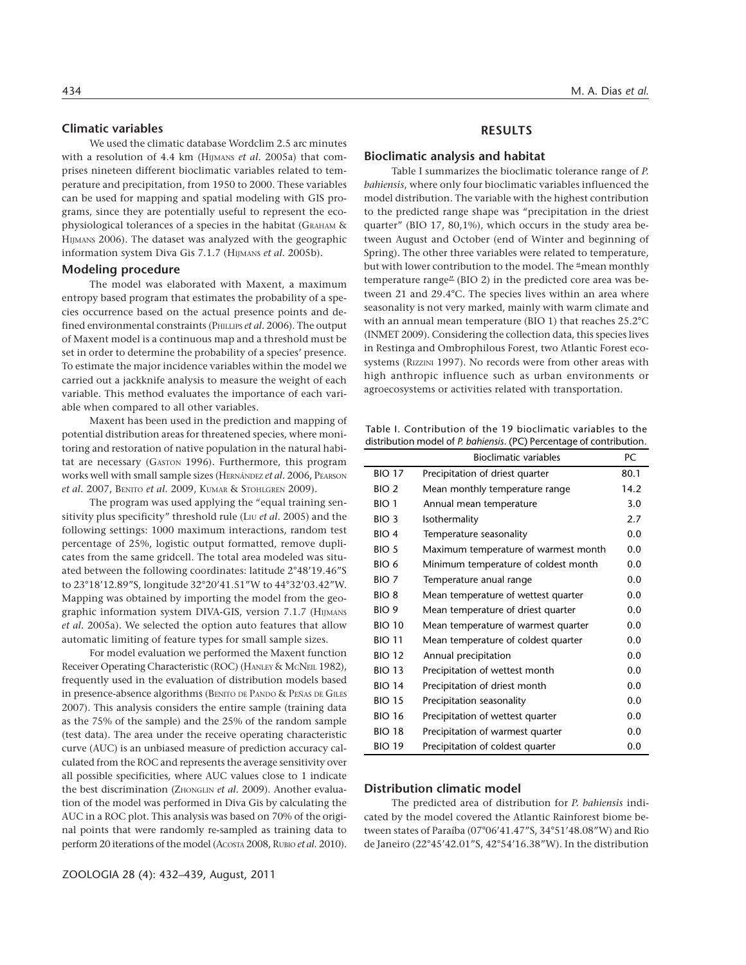# **Climatic variables**

We used the climatic database Wordclim 2.5 arc minutes with a resolution of 4.4 km (HIJMANS *et al.* 2005a) that comprises nineteen different bioclimatic variables related to temperature and precipitation, from 1950 to 2000. These variables can be used for mapping and spatial modeling with GIS programs, since they are potentially useful to represent the ecophysiological tolerances of a species in the habitat (GRAHAM & HIJMANS 2006). The dataset was analyzed with the geographic information system Diva Gis 7.1.7 (HIJMANS *et al.* 2005b).

#### **Modeling procedure**

The model was elaborated with Maxent, a maximum entropy based program that estimates the probability of a species occurrence based on the actual presence points and defined environmental constraints (PHILLIPS *et al.* 2006). The output of Maxent model is a continuous map and a threshold must be set in order to determine the probability of a species' presence. To estimate the major incidence variables within the model we carried out a jackknife analysis to measure the weight of each variable. This method evaluates the importance of each variable when compared to all other variables.

Maxent has been used in the prediction and mapping of potential distribution areas for threatened species, where monitoring and restoration of native population in the natural habitat are necessary (GASTON 1996). Furthermore, this program works well with small sample sizes (HERNÁNDEZ *et al.* 2006, PEARSON *et al.* 2007, BENITO *et al.* 2009, KUMAR & STOHLGREN 2009).

The program was used applying the "equal training sensitivity plus specificity" threshold rule (LIU et al. 2005) and the following settings: 1000 maximum interactions, random test percentage of 25%, logistic output formatted, remove duplicates from the same gridcell. The total area modeled was situated between the following coordinates: latitude 2°48'19.46"S to 23°18'12.89"S, longitude 32°20'41.51"W to 44°32'03.42"W. Mapping was obtained by importing the model from the geographic information system DIVA-GIS, version 7.1.7 (HIJMANS *et al.* 2005a). We selected the option auto features that allow automatic limiting of feature types for small sample sizes.

For model evaluation we performed the Maxent function Receiver Operating Characteristic (ROC) (HANLEY & McNEIL 1982), frequently used in the evaluation of distribution models based in presence-absence algorithms (BENITO DE PANDO & PEÑAS DE GILES 2007). This analysis considers the entire sample (training data as the 75% of the sample) and the 25% of the random sample (test data). The area under the receive operating characteristic curve (AUC) is an unbiased measure of prediction accuracy calculated from the ROC and represents the average sensitivity over all possible specificities, where AUC values close to 1 indicate the best discrimination (ZHONGLIN *et al.* 2009). Another evaluation of the model was performed in Diva Gis by calculating the AUC in a ROC plot. This analysis was based on 70% of the original points that were randomly re-sampled as training data to perform 20 iterations of the model (ACOSTA 2008, RUBIO *et al.* 2010).

#### **RESULTS**

#### **Bioclimatic analysis and habitat**

Table I summarizes the bioclimatic tolerance range of *P. bahiensis*, where only four bioclimatic variables influenced the model distribution. The variable with the highest contribution to the predicted range shape was "precipitation in the driest quarter" (BIO 17, 80,1%), which occurs in the study area between August and October (end of Winter and beginning of Spring). The other three variables were related to temperature, but with lower contribution to the model. The "mean monthly temperature range" (BIO 2) in the predicted core area was between 21 and 29.4°C. The species lives within an area where seasonality is not very marked, mainly with warm climate and with an annual mean temperature (BIO 1) that reaches 25.2°C (INMET 2009). Considering the collection data, this species lives in Restinga and Ombrophilous Forest, two Atlantic Forest ecosystems (RIZZINI 1997). No records were from other areas with high anthropic influence such as urban environments or agroecosystems or activities related with transportation.

Table I. Contribution of the 19 bioclimatic variables to the distribution model of *P. bahiensis*. (PC) Percentage of contribution.

|                  | <b>Bioclimatic variables</b>         | PC   |
|------------------|--------------------------------------|------|
| <b>BIO 17</b>    | Precipitation of driest quarter      | 80.1 |
| BIO <sub>2</sub> | Mean monthly temperature range       | 14.2 |
| BIO <sub>1</sub> | Annual mean temperature              | 3.0  |
| BIO <sub>3</sub> | Isothermality                        | 2.7  |
| BIO <sub>4</sub> | Temperature seasonality              | 0.0  |
| BIO <sub>5</sub> | Maximum temperature of warmest month | 0.0  |
| BIO 6            | Minimum temperature of coldest month | 0.0  |
| BIO <sub>7</sub> | Temperature anual range              | 0.0  |
| BIO <sub>8</sub> | Mean temperature of wettest quarter  | 0.0  |
| BIO <sub>9</sub> | Mean temperature of driest quarter   | 0.0  |
| <b>BIO 10</b>    | Mean temperature of warmest quarter  | 0.0  |
| <b>BIO 11</b>    | Mean temperature of coldest quarter  | 0.0  |
| <b>BIO 12</b>    | Annual precipitation                 | 0.0  |
| <b>BIO 13</b>    | Precipitation of wettest month       | 0.0  |
| <b>BIO 14</b>    | Precipitation of driest month        | 0.0  |
| <b>BIO 15</b>    | Precipitation seasonality            | 0.0  |
| <b>BIO 16</b>    | Precipitation of wettest quarter     | 0.0  |
| <b>BIO 18</b>    | Precipitation of warmest quarter     | 0.0  |
| <b>BIO 19</b>    | Precipitation of coldest quarter     | 0.0  |

#### **Distribution climatic model**

The predicted area of distribution for *P. bahiensis* indicated by the model covered the Atlantic Rainforest biome between states of Paraíba (07°06'41.47"S, 34°51'48.08"W) and Rio de Janeiro (22°45'42.01"S, 42°54'16.38"W). In the distribution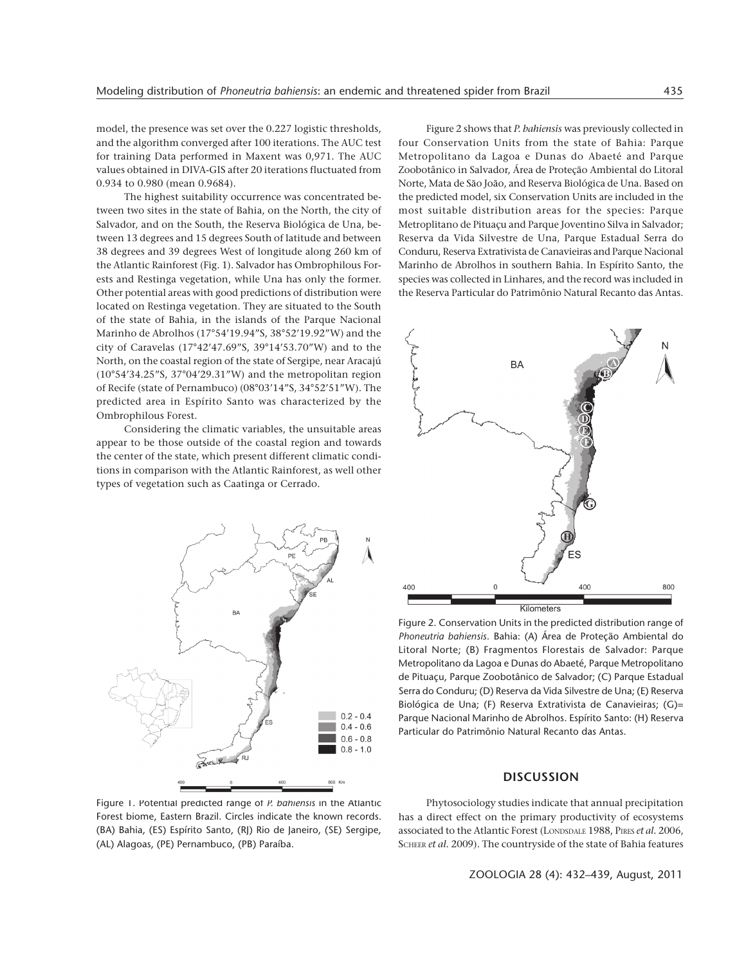model, the presence was set over the 0.227 logistic thresholds, and the algorithm converged after 100 iterations. The AUC test for training Data performed in Maxent was 0,971. The AUC values obtained in DIVA-GIS after 20 iterations fluctuated from 0.934 to 0.980 (mean 0.9684).

The highest suitability occurrence was concentrated between two sites in the state of Bahia, on the North, the city of Salvador, and on the South, the Reserva Biológica de Una, between 13 degrees and 15 degrees South of latitude and between 38 degrees and 39 degrees West of longitude along 260 km of the Atlantic Rainforest (Fig. 1). Salvador has Ombrophilous Forests and Restinga vegetation, while Una has only the former. Other potential areas with good predictions of distribution were located on Restinga vegetation. They are situated to the South of the state of Bahia, in the islands of the Parque Nacional Marinho de Abrolhos (17°54'19.94"S, 38°52'19.92"W) and the city of Caravelas (17°42'47.69"S, 39°14'53.70"W) and to the North, on the coastal region of the state of Sergipe, near Aracajú (10°54'34.25"S, 37°04'29.31"W) and the metropolitan region of Recife (state of Pernambuco) (08°03'14"S, 34°52'51"W). The predicted area in Espírito Santo was characterized by the Ombrophilous Forest.

Considering the climatic variables, the unsuitable areas appear to be those outside of the coastal region and towards the center of the state, which present different climatic conditions in comparison with the Atlantic Rainforest, as well other types of vegetation such as Caatinga or Cerrado.



Figure 2 shows that *P. bahiensis* was previously collected in four Conservation Units from the state of Bahia: Parque Metropolitano da Lagoa e Dunas do Abaeté and Parque Zoobotânico in Salvador, Área de Proteção Ambiental do Litoral Norte, Mata de São João, and Reserva Biológica de Una. Based on the predicted model, six Conservation Units are included in the most suitable distribution areas for the species: Parque Metroplitano de Pituaçu and Parque Joventino Silva in Salvador; Reserva da Vida Silvestre de Una, Parque Estadual Serra do Conduru, Reserva Extrativista de Canavieiras and Parque Nacional Marinho de Abrolhos in southern Bahia. In Espírito Santo, the species was collected in Linhares, and the record was included in the Reserva Particular do Patrimônio Natural Recanto das Antas.



Figure 2. Conservation Units in the predicted distribution range of *Phoneutria bahiensis*. Bahia: (A) Área de Proteção Ambiental do Litoral Norte; (B) Fragmentos Florestais de Salvador: Parque Metropolitano da Lagoa e Dunas do Abaeté, Parque Metropolitano de Pituaçu, Parque Zoobotânico de Salvador; (C) Parque Estadual Serra do Conduru; (D) Reserva da Vida Silvestre de Una; (E) Reserva Biológica de Una; (F) Reserva Extrativista de Canavieiras; (G)= Parque Nacional Marinho de Abrolhos. Espírito Santo: (H) Reserva Particular do Patrimônio Natural Recanto das Antas.

## **DISCUSSION**

Figure 1. Potential predicted range of *P. bahiensis* in the Atlantic Forest biome, Eastern Brazil. Circles indicate the known records. (BA) Bahia, (ES) Espírito Santo, (RJ) Rio de Janeiro, (SE) Sergipe, (AL) Alagoas, (PE) Pernambuco, (PB) Paraíba.

Phytosociology studies indicate that annual precipitation has a direct effect on the primary productivity of ecosystems associated to the Atlantic Forest (LONDSDALE 1988, PIRES *et al.* 2006, SCHEER *et al.* 2009). The countryside of the state of Bahia features

ZOOLOGIA 28 (4): 432–439, August, 2011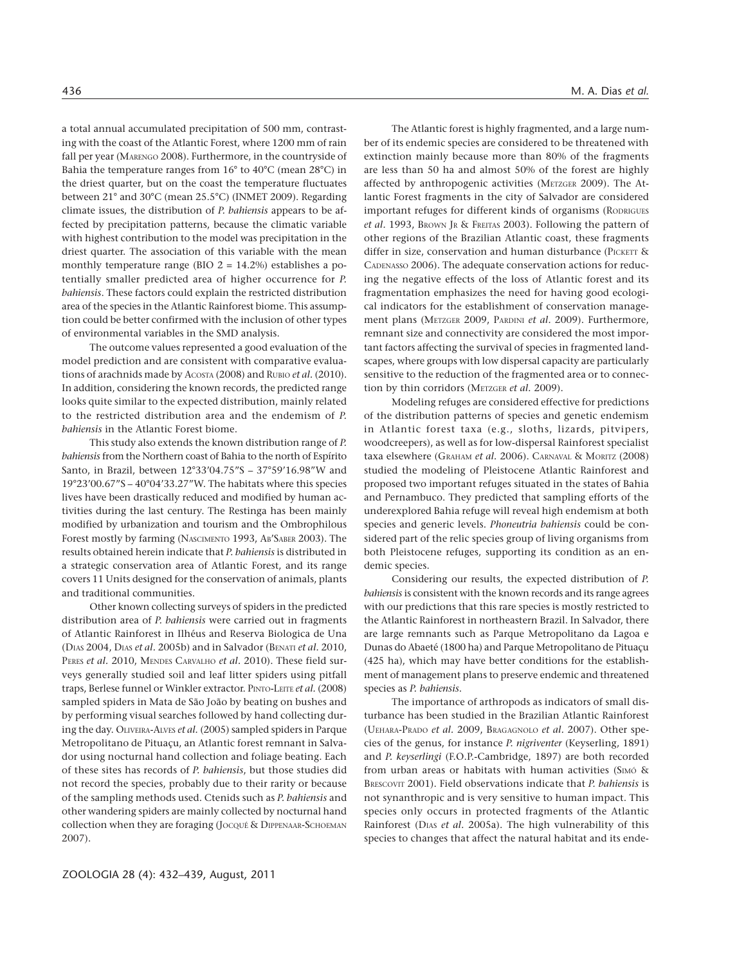a total annual accumulated precipitation of 500 mm, contrasting with the coast of the Atlantic Forest, where 1200 mm of rain fall per year (MARENGO 2008). Furthermore, in the countryside of Bahia the temperature ranges from 16° to 40°C (mean 28°C) in the driest quarter, but on the coast the temperature fluctuates between 21° and 30°C (mean 25.5°C) (INMET 2009). Regarding climate issues, the distribution of *P. bahiensis* appears to be affected by precipitation patterns, because the climatic variable with highest contribution to the model was precipitation in the driest quarter. The association of this variable with the mean monthly temperature range (BIO  $2 = 14.2\%$ ) establishes a potentially smaller predicted area of higher occurrence for *P. bahiensis*. These factors could explain the restricted distribution area of the species in the Atlantic Rainforest biome. This assumption could be better confirmed with the inclusion of other types of environmental variables in the SMD analysis.

The outcome values represented a good evaluation of the model prediction and are consistent with comparative evaluations of arachnids made by ACOSTA (2008) and RUBIO *et al.* (2010). In addition, considering the known records, the predicted range looks quite similar to the expected distribution, mainly related to the restricted distribution area and the endemism of *P. bahiensis* in the Atlantic Forest biome.

This study also extends the known distribution range of *P. bahiensis* from the Northern coast of Bahia to the north of Espírito Santo, in Brazil, between 12°33'04.75"S – 37°59'16.98"W and 19°23'00.67"S – 40°04'33.27"W. The habitats where this species lives have been drastically reduced and modified by human activities during the last century. The Restinga has been mainly modified by urbanization and tourism and the Ombrophilous Forest mostly by farming (NASCIMENTO 1993, AB'SABER 2003). The results obtained herein indicate that *P. bahiensis* is distributed in a strategic conservation area of Atlantic Forest, and its range covers 11 Units designed for the conservation of animals, plants and traditional communities.

Other known collecting surveys of spiders in the predicted distribution area of *P. bahiensis* were carried out in fragments of Atlantic Rainforest in Ilhéus and Reserva Biologica de Una (DIAS 2004, DIAS *et al.* 2005b) and in Salvador (BENATI *et al.* 2010, PERES *et al.* 2010, MENDES CARVALHO *et al.* 2010). These field surveys generally studied soil and leaf litter spiders using pitfall traps, Berlese funnel or Winkler extractor. PINTO-LEITE *et al.* (2008) sampled spiders in Mata de São João by beating on bushes and by performing visual searches followed by hand collecting during the day. OLIVEIRA-ALVES *et al.* (2005) sampled spiders in Parque Metropolitano de Pituaçu, an Atlantic forest remnant in Salvador using nocturnal hand collection and foliage beating. Each of these sites has records of *P. bahiensis*, but those studies did not record the species, probably due to their rarity or because of the sampling methods used. Ctenids such as *P. bahiensis* and other wandering spiders are mainly collected by nocturnal hand collection when they are foraging (Jocqué & DIPPENAAR-SCHOEMAN 2007).

The Atlantic forest is highly fragmented, and a large number of its endemic species are considered to be threatened with extinction mainly because more than 80% of the fragments are less than 50 ha and almost 50% of the forest are highly affected by anthropogenic activities (METZGER 2009). The Atlantic Forest fragments in the city of Salvador are considered important refuges for different kinds of organisms (RODRIGUES *et al.* 1993, BROWN JR & FREITAS 2003). Following the pattern of other regions of the Brazilian Atlantic coast, these fragments differ in size, conservation and human disturbance (PICKETT & CADENASSO 2006). The adequate conservation actions for reducing the negative effects of the loss of Atlantic forest and its fragmentation emphasizes the need for having good ecological indicators for the establishment of conservation management plans (METZGER 2009, PARDINI *et al.* 2009). Furthermore, remnant size and connectivity are considered the most important factors affecting the survival of species in fragmented landscapes, where groups with low dispersal capacity are particularly sensitive to the reduction of the fragmented area or to connection by thin corridors (METZGER *et al.* 2009).

Modeling refuges are considered effective for predictions of the distribution patterns of species and genetic endemism in Atlantic forest taxa (e.g., sloths, lizards, pitvipers, woodcreepers), as well as for low-dispersal Rainforest specialist taxa elsewhere (GRAHAM *et al.* 2006). CARNAVAL & MORITZ (2008) studied the modeling of Pleistocene Atlantic Rainforest and proposed two important refuges situated in the states of Bahia and Pernambuco. They predicted that sampling efforts of the underexplored Bahia refuge will reveal high endemism at both species and generic levels. *Phoneutria bahiensis* could be considered part of the relic species group of living organisms from both Pleistocene refuges, supporting its condition as an endemic species.

Considering our results, the expected distribution of *P. bahiensis* is consistent with the known records and its range agrees with our predictions that this rare species is mostly restricted to the Atlantic Rainforest in northeastern Brazil. In Salvador, there are large remnants such as Parque Metropolitano da Lagoa e Dunas do Abaeté (1800 ha) and Parque Metropolitano de Pituaçu (425 ha), which may have better conditions for the establishment of management plans to preserve endemic and threatened species as *P. bahiensis*.

The importance of arthropods as indicators of small disturbance has been studied in the Brazilian Atlantic Rainforest (UEHARA-PRADO *et al.* 2009, BRAGAGNOLO *et al.* 2007). Other species of the genus, for instance *P. nigriventer* (Keyserling, 1891) and *P. keyserlingi* (F.O.P.-Cambridge, 1897) are both recorded from urban areas or habitats with human activities (SIMÓ & BRESCOVIT 2001). Field observations indicate that *P. bahiensis* is not synanthropic and is very sensitive to human impact. This species only occurs in protected fragments of the Atlantic Rainforest (DIAS *et al.* 2005a). The high vulnerability of this species to changes that affect the natural habitat and its ende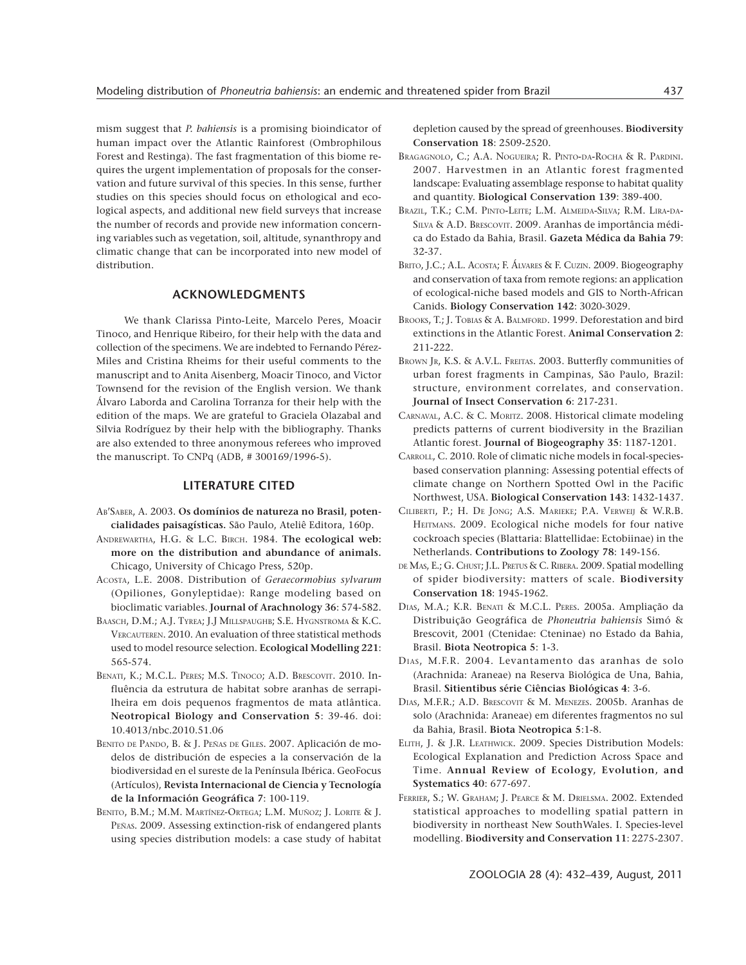mism suggest that *P. bahiensis* is a promising bioindicator of human impact over the Atlantic Rainforest (Ombrophilous Forest and Restinga). The fast fragmentation of this biome requires the urgent implementation of proposals for the conservation and future survival of this species. In this sense, further studies on this species should focus on ethological and ecological aspects, and additional new field surveys that increase the number of records and provide new information concerning variables such as vegetation, soil, altitude, synanthropy and climatic change that can be incorporated into new model of distribution.

# **ACKNOWLEDGMENTS**

We thank Clarissa Pinto-Leite, Marcelo Peres, Moacir Tinoco, and Henrique Ribeiro, for their help with the data and collection of the specimens. We are indebted to Fernando Pérez-Miles and Cristina Rheims for their useful comments to the manuscript and to Anita Aisenberg, Moacir Tinoco, and Victor Townsend for the revision of the English version. We thank Álvaro Laborda and Carolina Torranza for their help with the edition of the maps. We are grateful to Graciela Olazabal and Silvia Rodríguez by their help with the bibliography. Thanks are also extended to three anonymous referees who improved the manuscript. To CNPq (ADB, # 300169/1996-5).

## **LITERATURE CITED**

- AB'SABER, A. 2003. **Os domínios de natureza no Brasil, potencialidades paisagísticas.** São Paulo, Ateliê Editora, 160p.
- ANDREWARTHA, H.G. & L.C. BIRCH. 1984. **The ecological web: more on the distribution and abundance of animals.** Chicago, University of Chicago Press, 520p.
- ACOSTA, L.E. 2008. Distribution of *Geraecormobius sylvarum* (Opiliones, Gonyleptidae): Range modeling based on bioclimatic variables. **Journal of Arachnology 36**: 574-582.
- BAASCH, D.M.; A.J. TYREA; J.J MILLSPAUGHB; S.E. HYGNSTROMA & K.C. VERCAUTEREN. 2010. An evaluation of three statistical methods used to model resource selection. **Ecological Modelling 221**: 565-574.
- BENATI, K.; M.C.L. PERES; M.S. TINOCO; A.D. BRESCOVIT. 2010. Influência da estrutura de habitat sobre aranhas de serrapilheira em dois pequenos fragmentos de mata atlântica. **Neotropical Biology and Conservation 5**: 39-46. doi: 10.4013/nbc.2010.51.06
- BENITO DE PANDO, B. & J. PEÑAS DE GILES. 2007. Aplicación de modelos de distribución de especies a la conservación de la biodiversidad en el sureste de la Península Ibérica. GeoFocus (Artículos), **Revista Internacional de Ciencia y Tecnología de la Información Geográfica 7**: 100-119.
- BENITO, B.M.; M.M. MARTÍNEZ-ORTEGA; L.M. MUÑOZ; J. LORITE & J. PEÑAS. 2009. Assessing extinction-risk of endangered plants using species distribution models: a case study of habitat

depletion caused by the spread of greenhouses. **Biodiversity Conservation 18**: 2509-2520.

- BRAGAGNOLO, C.; A.A. NOGUEIRA; R. PINTO-DA-ROCHA & R. PARDINI. 2007. Harvestmen in an Atlantic forest fragmented landscape: Evaluating assemblage response to habitat quality and quantity. **Biological Conservation 139**: 389-400.
- BRAZIL, T.K.; C.M. PINTO-LEITE; L.M. ALMEIDA-SILVA; R.M. LIRA-DA-SILVA & A.D. BRESCOVIT. 2009. Aranhas de importância médica do Estado da Bahia, Brasil. **Gazeta Médica da Bahia 79**: 32-37.
- BRITO, J.C.; A.L. ACOSTA; F. ÁLVARES & F. CUZIN. 2009. Biogeography and conservation of taxa from remote regions: an application of ecological-niche based models and GIS to North-African Canids. **Biology Conservation 142**: 3020-3029.
- BROOKS, T.; J. TOBIAS & A. BALMFORD. 1999. Deforestation and bird extinctions in the Atlantic Forest. **Animal Conservation 2**: 211-222.
- BROWN JR, K.S. & A.V.L. FREITAS. 2003. Butterfly communities of urban forest fragments in Campinas, São Paulo, Brazil: structure, environment correlates, and conservation. **Journal of Insect Conservation 6**: 217-231.
- CARNAVAL, A.C. & C. MORITZ. 2008. Historical climate modeling predicts patterns of current biodiversity in the Brazilian Atlantic forest. **Journal of Biogeography 35**: 1187-1201.
- CARROLL, C. 2010. Role of climatic niche models in focal-speciesbased conservation planning: Assessing potential effects of climate change on Northern Spotted Owl in the Pacific Northwest, USA. **Biological Conservation 143**: 1432-1437.
- CILIBERTI, P.; H. DE JONG; A.S. MARIEKE; P.A. VERWEIJ & W.R.B. HEITMANS. 2009. Ecological niche models for four native cockroach species (Blattaria: Blattellidae: Ectobiinae) in the Netherlands. **Contributions to Zoology 78**: 149-156.
- DE MAS, E.; G. CHUST; J.L. PRETUS & C. RIBERA. 2009. Spatial modelling of spider biodiversity: matters of scale. **Biodiversity Conservation 18**: 1945-1962.
- DIAS, M.A.; K.R. BENATI & M.C.L. PERES. 2005a. Ampliação da Distribuição Geográfica de *Phoneutria bahiensis* Simó & Brescovit, 2001 (Ctenidae: Cteninae) no Estado da Bahia, Brasil. **Biota Neotropica 5**: 1-3.
- DIAS, M.F.R. 2004. Levantamento das aranhas de solo (Arachnida: Araneae) na Reserva Biológica de Una, Bahia, Brasil. **Sitientibus série Ciências Biológicas 4**: 3-6.
- DIAS, M.F.R.; A.D. BRESCOVIT & M. MENEZES. 2005b. Aranhas de solo (Arachnida: Araneae) em diferentes fragmentos no sul da Bahia, Brasil. **Biota Neotropica 5**:1-8.
- ELITH, J. & J.R. LEATHWICK. 2009. Species Distribution Models: Ecological Explanation and Prediction Across Space and Time. **Annual Review of Ecology, Evolution, and Systematics 40**: 677-697.
- FERRIER, S.; W. GRAHAM; J. PEARCE & M. DRIELSMA. 2002. Extended statistical approaches to modelling spatial pattern in biodiversity in northeast New SouthWales. I. Species-level modelling. **Biodiversity and Conservation 11**: 2275-2307.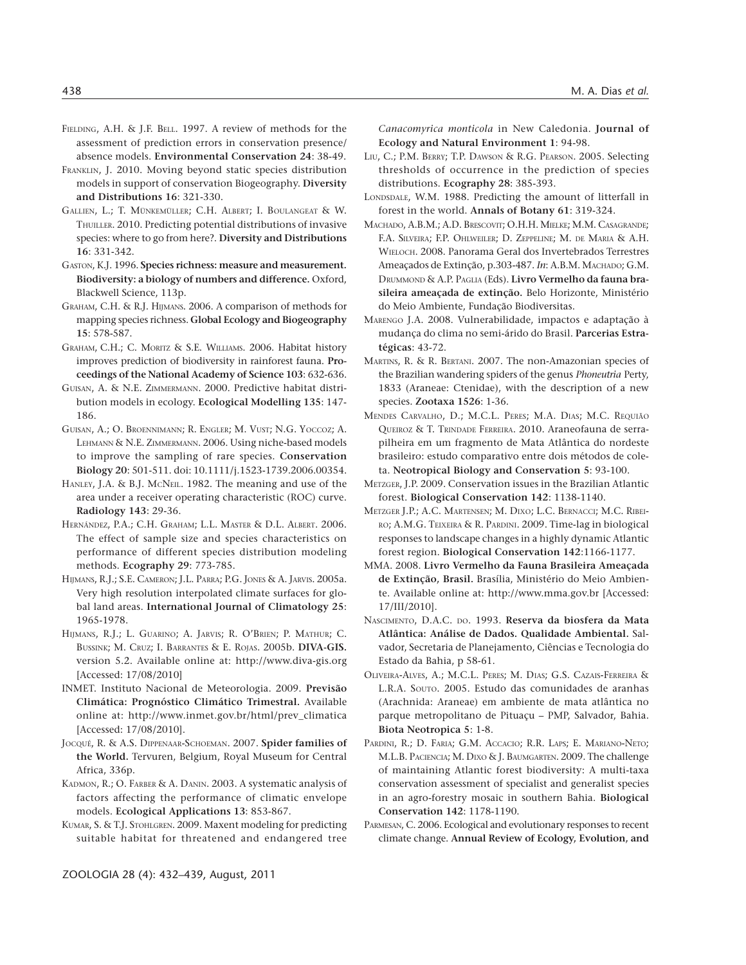- FIELDING, A.H. & J.F. BELL. 1997. A review of methods for the assessment of prediction errors in conservation presence/ absence models. **Environmental Conservation 24**: 38-49.
- FRANKLIN, J. 2010. Moving beyond static species distribution models in support of conservation Biogeography. **Diversity and Distributions 16**: 321-330.
- GALLIEN, L.; T. MÜNKEMÜLLER; C.H. ALBERT; I. BOULANGEAT & W. THUILLER. 2010. Predicting potential distributions of invasive species: where to go from here?. **Diversity and Distributions 16**: 331-342.
- GASTON, K.J. 1996. **Species richness: measure and measurement. Biodiversity: a biology of numbers and difference.** Oxford, Blackwell Science, 113p.
- GRAHAM, C.H. & R.J. HIJMANS. 2006. A comparison of methods for mapping species richness. **Global Ecology and Biogeography 15**: 578-587.
- GRAHAM, C.H.; C. MORITZ & S.E. WILLIAMS. 2006. Habitat history improves prediction of biodiversity in rainforest fauna. **Proceedings of the National Academy of Science 103**: 632-636.
- GUISAN, A. & N.E. ZIMMERMANN. 2000. Predictive habitat distribution models in ecology. **Ecological Modelling 135**: 147- 186.
- GUISAN, A.; O. BROENNIMANN; R. ENGLER; M. VUST; N.G. YOCCOZ; A. LEHMANN & N.E. ZIMMERMANN. 2006. Using niche-based models to improve the sampling of rare species. **Conservation Biology 20**: 501-511. doi: 10.1111/j.1523-1739.2006.00354.
- HANLEY, J.A. & B.J. MCNEIL. 1982. The meaning and use of the area under a receiver operating characteristic (ROC) curve. **Radiology 143**: 29-36.
- HERNÁNDEZ, P.A.; C.H. GRAHAM; L.L. MASTER & D.L. ALBERT. 2006. The effect of sample size and species characteristics on performance of different species distribution modeling methods. **Ecography 29**: 773-785.
- HIJMANS, R.J.; S.E. CAMERON; J.L. PARRA; P.G. JONES & A. JARVIS. 2005a. Very high resolution interpolated climate surfaces for global land areas. **International Journal of Climatology 25**: 1965-1978.
- HIJMANS, R.J.; L. GUARINO; A. JARVIS; R. O'BRIEN; P. MATHUR; C. BUSSINK; M. CRUZ; I. BARRANTES & E. ROJAS. 2005b. **DIVA-GIS.** version 5.2. Available online at: http://www.diva-gis.org [Accessed: 17/08/2010]
- INMET. Instituto Nacional de Meteorologia. 2009. **Previsão Climática: Prognóstico Climático Trimestral.** Available online at: http://www.inmet.gov.br/html/prev\_climatica [Accessed: 17/08/2010].
- JOCQUÉ, R. & A.S. DIPPENAAR-SCHOEMAN. 2007. **Spider families of the World.** Tervuren, Belgium, Royal Museum for Central Africa, 336p.
- KADMON, R.; O. FARBER & A. DANIN. 2003. A systematic analysis of factors affecting the performance of climatic envelope models. **Ecological Applications 13**: 853-867.
- KUMAR, S. & T.J. STOHLGREN. 2009. Maxent modeling for predicting suitable habitat for threatened and endangered tree

*Canacomyrica monticola* in New Caledonia. **Journal of Ecology and Natural Environment 1**: 94-98.

- LIU, C.; P.M. BERRY; T.P. DAWSON & R.G. PEARSON. 2005. Selecting thresholds of occurrence in the prediction of species distributions. **Ecography 28**: 385-393.
- LONDSDALE, W.M. 1988. Predicting the amount of litterfall in forest in the world. **Annals of Botany 61**: 319-324.
- MACHADO, A.B.M.; A.D. BRESCOVIT; O.H.H. MIELKE; M.M. CASAGRANDE; F.A. SILVEIRA; F.P. OHLWEILER; D. ZEPPELINE; M. DE MARIA & A.H. WIELOCH. 2008. Panorama Geral dos Invertebrados Terrestres Ameaçados de Extinção, p.303-487. *In*: A.B.M. MACHADO; G.M. DRUMMOND & A.P. PAGLIA (Eds). **Livro Vermelho da fauna brasileira ameaçada de extinção.** Belo Horizonte, Ministério do Meio Ambiente, Fundação Biodiversitas.
- MARENGO J.A. 2008. Vulnerabilidade, impactos e adaptação à mudança do clima no semi-árido do Brasil. **Parcerias Estratégicas**: 43-72.
- MARTINS, R. & R. BERTANI. 2007. The non-Amazonian species of the Brazilian wandering spiders of the genus *Phoneutria* Perty, 1833 (Araneae: Ctenidae), with the description of a new species. **Zootaxa 1526**: 1-36.
- MENDES CARVALHO, D.; M.C.L. PERES; M.A. DIAS; M.C. REQUIÃO QUEIROZ & T. TRINDADE FERREIRA. 2010. Araneofauna de serrapilheira em um fragmento de Mata Atlântica do nordeste brasileiro: estudo comparativo entre dois métodos de coleta. **Neotropical Biology and Conservation 5**: 93-100.
- METZGER, J.P. 2009. Conservation issues in the Brazilian Atlantic forest. **Biological Conservation 142**: 1138-1140.
- METZGER J.P.; A.C. MARTENSEN; M. DIXO; L.C. BERNACCI; M.C. RIBEI-RO; A.M.G. TEIXEIRA & R. PARDINI. 2009. Time-lag in biological responses to landscape changes in a highly dynamic Atlantic forest region. **Biological Conservation 142**:1166-1177.
- MMA. 2008. **Livro Vermelho da Fauna Brasileira Ameaçada de Extinção, Brasil.** Brasília, Ministério do Meio Ambiente. Available online at: http://www.mma.gov.br [Accessed: 17/III/2010].
- NASCIMENTO, D.A.C. DO. 1993. **Reserva da biosfera da Mata Atlântica: Análise de Dados. Qualidade Ambiental.** Salvador, Secretaria de Planejamento, Ciências e Tecnologia do Estado da Bahia, p 58-61.
- OLIVEIRA-ALVES, A.; M.C.L. PERES; M. DIAS; G.S. CAZAIS-FERREIRA & L.R.A. SOUTO. 2005. Estudo das comunidades de aranhas (Arachnida: Araneae) em ambiente de mata atlântica no parque metropolitano de Pituaçu – PMP, Salvador, Bahia. **Biota Neotropica 5**: 1-8.
- PARDINI, R.; D. FARIA; G.M. ACCACIO; R.R. LAPS; E. MARIANO-NETO; M.L.B. PACIENCIA; M. DIXO & J. BAUMGARTEN. 2009. The challenge of maintaining Atlantic forest biodiversity: A multi-taxa conservation assessment of specialist and generalist species in an agro-forestry mosaic in southern Bahia. **Biological Conservation 142**: 1178-1190.
- PARMESAN, C. 2006. Ecological and evolutionary responses to recent climate change. **Annual Review of Ecology, Evolution, and**